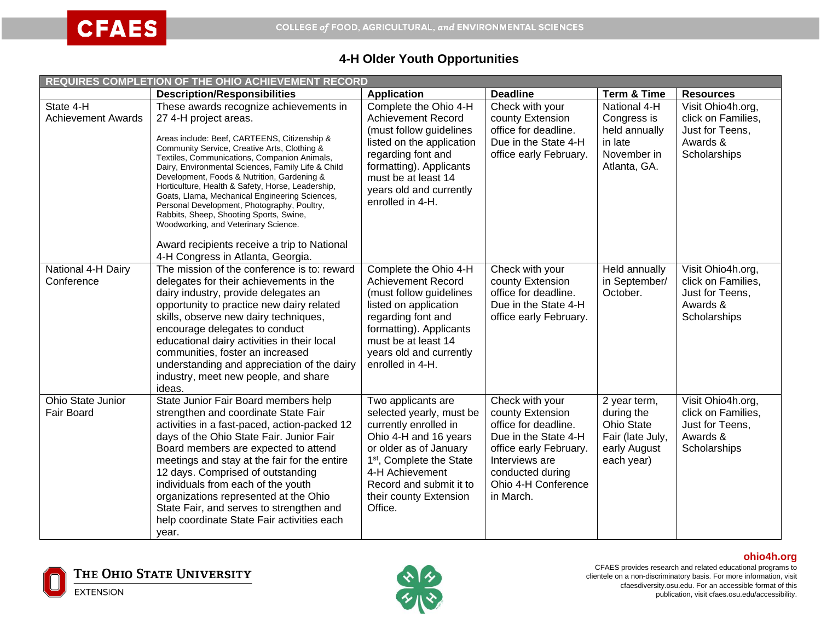## **4-H Older Youth Opportunities**

| REQUIRES COMPLETION OF THE OHIO ACHIEVEMENT RECORD |                                                                                                                                                                                                                                                                                                                                                                                                                                                                                                                                                                                                              |                                                                                                                                                                                                                                                       |                                                                                                                                                                                         |                                                                                            |                                                                                        |
|----------------------------------------------------|--------------------------------------------------------------------------------------------------------------------------------------------------------------------------------------------------------------------------------------------------------------------------------------------------------------------------------------------------------------------------------------------------------------------------------------------------------------------------------------------------------------------------------------------------------------------------------------------------------------|-------------------------------------------------------------------------------------------------------------------------------------------------------------------------------------------------------------------------------------------------------|-----------------------------------------------------------------------------------------------------------------------------------------------------------------------------------------|--------------------------------------------------------------------------------------------|----------------------------------------------------------------------------------------|
|                                                    | <b>Description/Responsibilities</b>                                                                                                                                                                                                                                                                                                                                                                                                                                                                                                                                                                          | <b>Application</b>                                                                                                                                                                                                                                    | <b>Deadline</b>                                                                                                                                                                         | <b>Term &amp; Time</b>                                                                     | <b>Resources</b>                                                                       |
| State 4-H<br><b>Achievement Awards</b>             | These awards recognize achievements in<br>27 4-H project areas.<br>Areas include: Beef, CARTEENS, Citizenship &<br>Community Service, Creative Arts, Clothing &<br>Textiles, Communications, Companion Animals,<br>Dairy, Environmental Sciences, Family Life & Child<br>Development, Foods & Nutrition, Gardening &<br>Horticulture, Health & Safety, Horse, Leadership,<br>Goats, Llama, Mechanical Engineering Sciences,<br>Personal Development, Photography, Poultry,<br>Rabbits, Sheep, Shooting Sports, Swine,<br>Woodworking, and Veterinary Science.<br>Award recipients receive a trip to National | Complete the Ohio 4-H<br><b>Achievement Record</b><br>(must follow guidelines<br>listed on the application<br>regarding font and<br>formatting). Applicants<br>must be at least 14<br>years old and currently<br>enrolled in 4-H.                     | Check with your<br>county Extension<br>office for deadline.<br>Due in the State 4-H<br>office early February.                                                                           | National 4-H<br>Congress is<br>held annually<br>in late<br>November in<br>Atlanta, GA.     | Visit Ohio4h.org,<br>click on Families,<br>Just for Teens,<br>Awards &<br>Scholarships |
| National 4-H Dairy<br>Conference                   | 4-H Congress in Atlanta, Georgia.<br>The mission of the conference is to: reward<br>delegates for their achievements in the<br>dairy industry, provide delegates an<br>opportunity to practice new dairy related<br>skills, observe new dairy techniques,<br>encourage delegates to conduct<br>educational dairy activities in their local<br>communities, foster an increased<br>understanding and appreciation of the dairy<br>industry, meet new people, and share<br>ideas.                                                                                                                              | Complete the Ohio 4-H<br><b>Achievement Record</b><br>(must follow guidelines<br>listed on application<br>regarding font and<br>formatting). Applicants<br>must be at least 14<br>years old and currently<br>enrolled in 4-H.                         | Check with your<br>county Extension<br>office for deadline.<br>Due in the State 4-H<br>office early February.                                                                           | <b>Held annually</b><br>in September/<br>October.                                          | Visit Ohio4h.org,<br>click on Families,<br>Just for Teens,<br>Awards &<br>Scholarships |
| Ohio State Junior<br>Fair Board                    | State Junior Fair Board members help<br>strengthen and coordinate State Fair<br>activities in a fast-paced, action-packed 12<br>days of the Ohio State Fair. Junior Fair<br>Board members are expected to attend<br>meetings and stay at the fair for the entire<br>12 days. Comprised of outstanding<br>individuals from each of the youth<br>organizations represented at the Ohio<br>State Fair, and serves to strengthen and<br>help coordinate State Fair activities each<br>year.                                                                                                                      | Two applicants are<br>selected yearly, must be<br>currently enrolled in<br>Ohio 4-H and 16 years<br>or older as of January<br>1 <sup>st</sup> , Complete the State<br>4-H Achievement<br>Record and submit it to<br>their county Extension<br>Office. | Check with your<br>county Extension<br>office for deadline.<br>Due in the State 4-H<br>office early February.<br>Interviews are<br>conducted during<br>Ohio 4-H Conference<br>in March. | 2 year term,<br>during the<br>Ohio State<br>Fair (late July,<br>early August<br>each year) | Visit Ohio4h.org,<br>click on Families,<br>Just for Teens,<br>Awards &<br>Scholarships |



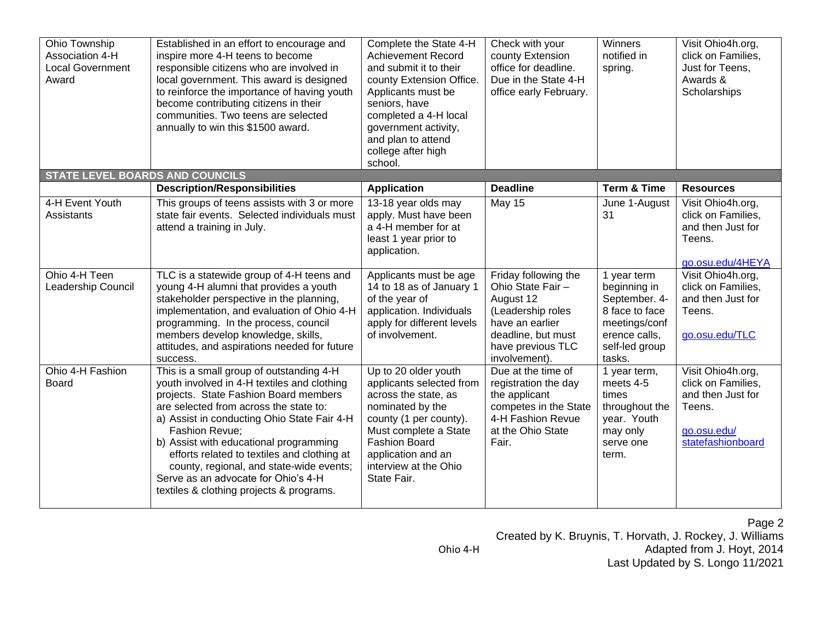| Ohio Township<br>Association 4-H<br><b>Local Government</b><br>Award | Established in an effort to encourage and<br>inspire more 4-H teens to become<br>responsible citizens who are involved in<br>local government. This award is designed<br>to reinforce the importance of having youth<br>become contributing citizens in their<br>communities. Two teens are selected<br>annually to win this \$1500 award.                                                                                                                                 | Complete the State 4-H<br><b>Achievement Record</b><br>and submit it to their<br>county Extension Office.<br>Applicants must be<br>seniors, have<br>completed a 4-H local<br>government activity,<br>and plan to attend<br>college after high<br>school. | Check with your<br>county Extension<br>office for deadline.<br>Due in the State 4-H<br>office early February.                                              | Winners<br>notified in<br>spring.                                                                                            | Visit Ohio4h.org,<br>click on Families,<br>Just for Teens,<br>Awards &<br>Scholarships                     |
|----------------------------------------------------------------------|----------------------------------------------------------------------------------------------------------------------------------------------------------------------------------------------------------------------------------------------------------------------------------------------------------------------------------------------------------------------------------------------------------------------------------------------------------------------------|----------------------------------------------------------------------------------------------------------------------------------------------------------------------------------------------------------------------------------------------------------|------------------------------------------------------------------------------------------------------------------------------------------------------------|------------------------------------------------------------------------------------------------------------------------------|------------------------------------------------------------------------------------------------------------|
| <b>STATE LEVEL BOARDS AND COUNCILS</b>                               |                                                                                                                                                                                                                                                                                                                                                                                                                                                                            |                                                                                                                                                                                                                                                          |                                                                                                                                                            |                                                                                                                              |                                                                                                            |
|                                                                      | <b>Description/Responsibilities</b>                                                                                                                                                                                                                                                                                                                                                                                                                                        | <b>Application</b>                                                                                                                                                                                                                                       | <b>Deadline</b>                                                                                                                                            | <b>Term &amp; Time</b>                                                                                                       | <b>Resources</b>                                                                                           |
| 4-H Event Youth<br>Assistants                                        | This groups of teens assists with 3 or more<br>state fair events. Selected individuals must<br>attend a training in July.                                                                                                                                                                                                                                                                                                                                                  | 13-18 year olds may<br>apply. Must have been<br>a 4-H member for at<br>least 1 year prior to<br>application.                                                                                                                                             | <b>May 15</b>                                                                                                                                              | June 1-August<br>31                                                                                                          | Visit Ohio4h.org,<br>click on Families,<br>and then Just for<br>Teens.<br>go.osu.edu/4HEYA                 |
| Ohio 4-H Teen<br>Leadership Council                                  | TLC is a statewide group of 4-H teens and<br>young 4-H alumni that provides a youth<br>stakeholder perspective in the planning,<br>implementation, and evaluation of Ohio 4-H<br>programming. In the process, council<br>members develop knowledge, skills,<br>attitudes, and aspirations needed for future<br>success.                                                                                                                                                    | Applicants must be age<br>14 to 18 as of January 1<br>of the year of<br>application. Individuals<br>apply for different levels<br>of involvement.                                                                                                        | Friday following the<br>Ohio State Fair -<br>August 12<br>(Leadership roles<br>have an earlier<br>deadline, but must<br>have previous TLC<br>involvement). | 1 year term<br>beginning in<br>September. 4-<br>8 face to face<br>meetings/conf<br>erence calls,<br>self-led group<br>tasks. | Visit Ohio4h.org,<br>click on Families,<br>and then Just for<br>Teens.<br>go.osu.edu/TLC                   |
| Ohio 4-H Fashion<br><b>Board</b>                                     | This is a small group of outstanding 4-H<br>youth involved in 4-H textiles and clothing<br>projects. State Fashion Board members<br>are selected from across the state to:<br>a) Assist in conducting Ohio State Fair 4-H<br><b>Fashion Revue:</b><br>b) Assist with educational programming<br>efforts related to textiles and clothing at<br>county, regional, and state-wide events;<br>Serve as an advocate for Ohio's 4-H<br>textiles & clothing projects & programs. | Up to 20 older youth<br>applicants selected from<br>across the state, as<br>nominated by the<br>county (1 per county).<br>Must complete a State<br><b>Fashion Board</b><br>application and an<br>interview at the Ohio<br>State Fair.                    | Due at the time of<br>registration the day<br>the applicant<br>competes in the State<br>4-H Fashion Revue<br>at the Ohio State<br>Fair.                    | 1 year term,<br>meets 4-5<br>times<br>throughout the<br>year. Youth<br>may only<br>serve one<br>term.                        | Visit Ohio4h.org,<br>click on Families,<br>and then Just for<br>Teens.<br>go.osu.edu/<br>statefashionboard |

## Page 2

Created by K. Bruynis, T. Horvath, J. Rockey, J. Williams Ohio 4-H **Adapted from J. Hoyt, 2014** 

Last Updated by S. Longo 11/2021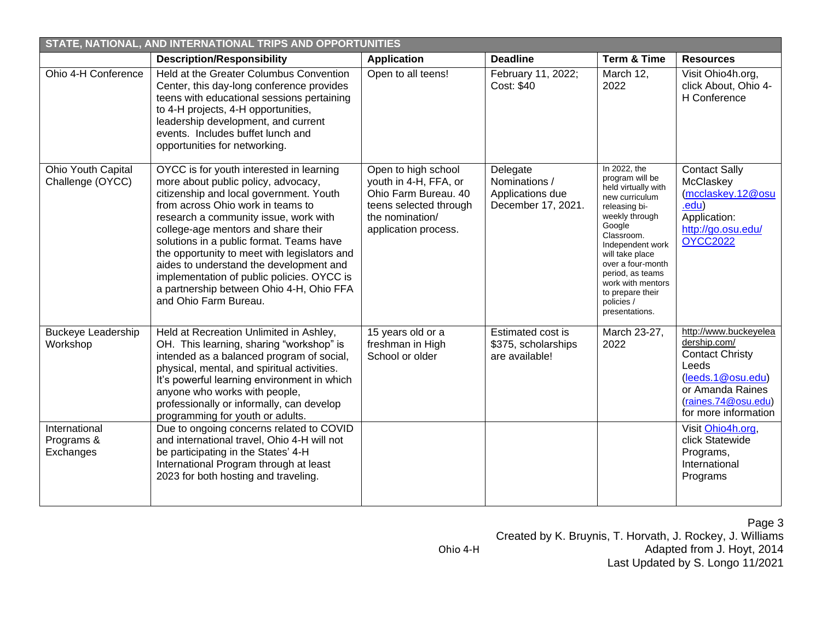| STATE, NATIONAL, AND INTERNATIONAL TRIPS AND OPPORTUNITIES |                                                                                                                                                                                                                                                                                                                                                                                                                                                                                                           |                                                                                                                                           |                                                                     |                                                                                                                                                                                                                                                                                              |                                                                                                                                                                  |
|------------------------------------------------------------|-----------------------------------------------------------------------------------------------------------------------------------------------------------------------------------------------------------------------------------------------------------------------------------------------------------------------------------------------------------------------------------------------------------------------------------------------------------------------------------------------------------|-------------------------------------------------------------------------------------------------------------------------------------------|---------------------------------------------------------------------|----------------------------------------------------------------------------------------------------------------------------------------------------------------------------------------------------------------------------------------------------------------------------------------------|------------------------------------------------------------------------------------------------------------------------------------------------------------------|
|                                                            | <b>Description/Responsibility</b>                                                                                                                                                                                                                                                                                                                                                                                                                                                                         | <b>Application</b>                                                                                                                        | <b>Deadline</b>                                                     | <b>Term &amp; Time</b>                                                                                                                                                                                                                                                                       | <b>Resources</b>                                                                                                                                                 |
| Ohio 4-H Conference                                        | Held at the Greater Columbus Convention<br>Center, this day-long conference provides<br>teens with educational sessions pertaining<br>to 4-H projects, 4-H opportunities,<br>leadership development, and current<br>events. Includes buffet lunch and<br>opportunities for networking.                                                                                                                                                                                                                    | Open to all teens!                                                                                                                        | February 11, 2022;<br>Cost: \$40                                    | March 12,<br>2022                                                                                                                                                                                                                                                                            | Visit Ohio4h.org,<br>click About, Ohio 4-<br>H Conference                                                                                                        |
| Ohio Youth Capital<br>Challenge (OYCC)                     | OYCC is for youth interested in learning<br>more about public policy, advocacy,<br>citizenship and local government. Youth<br>from across Ohio work in teams to<br>research a community issue, work with<br>college-age mentors and share their<br>solutions in a public format. Teams have<br>the opportunity to meet with legislators and<br>aides to understand the development and<br>implementation of public policies. OYCC is<br>a partnership between Ohio 4-H, Ohio FFA<br>and Ohio Farm Bureau. | Open to high school<br>youth in 4-H, FFA, or<br>Ohio Farm Bureau. 40<br>teens selected through<br>the nomination/<br>application process. | Delegate<br>Nominations /<br>Applications due<br>December 17, 2021. | In 2022, the<br>program will be<br>held virtually with<br>new curriculum<br>releasing bi-<br>weekly through<br>Google<br>Classroom.<br>Independent work<br>will take place<br>over a four-month<br>period, as teams<br>work with mentors<br>to prepare their<br>policies /<br>presentations. | <b>Contact Sally</b><br>McClaskey<br>(mcclaskey.12@osu<br>.edu)<br>Application:<br>http://go.osu.edu/<br><b>OYCC2022</b>                                         |
| <b>Buckeye Leadership</b><br>Workshop                      | Held at Recreation Unlimited in Ashley,<br>OH. This learning, sharing "workshop" is<br>intended as a balanced program of social,<br>physical, mental, and spiritual activities.<br>It's powerful learning environment in which<br>anyone who works with people,<br>professionally or informally, can develop<br>programming for youth or adults.                                                                                                                                                          | 15 years old or a<br>freshman in High<br>School or older                                                                                  | Estimated cost is<br>\$375, scholarships<br>are available!          | March 23-27,<br>2022                                                                                                                                                                                                                                                                         | http://www.buckeyelea<br>dership.com/<br><b>Contact Christy</b><br>Leeds<br>(leeds.1@osu.edu)<br>or Amanda Raines<br>(raines.74@osu.edu)<br>for more information |
| International<br>Programs &<br>Exchanges                   | Due to ongoing concerns related to COVID<br>and international travel, Ohio 4-H will not<br>be participating in the States' 4-H<br>International Program through at least<br>2023 for both hosting and traveling.                                                                                                                                                                                                                                                                                          |                                                                                                                                           |                                                                     |                                                                                                                                                                                                                                                                                              | Visit Ohio4h.org.<br>click Statewide<br>Programs,<br>International<br>Programs                                                                                   |

Page 3 Created by K. Bruynis, T. Horvath, J. Rockey, J. Williams Ohio 4-H **Adapted from J. Hoyt, 2014** Last Updated by S. Longo 11/2021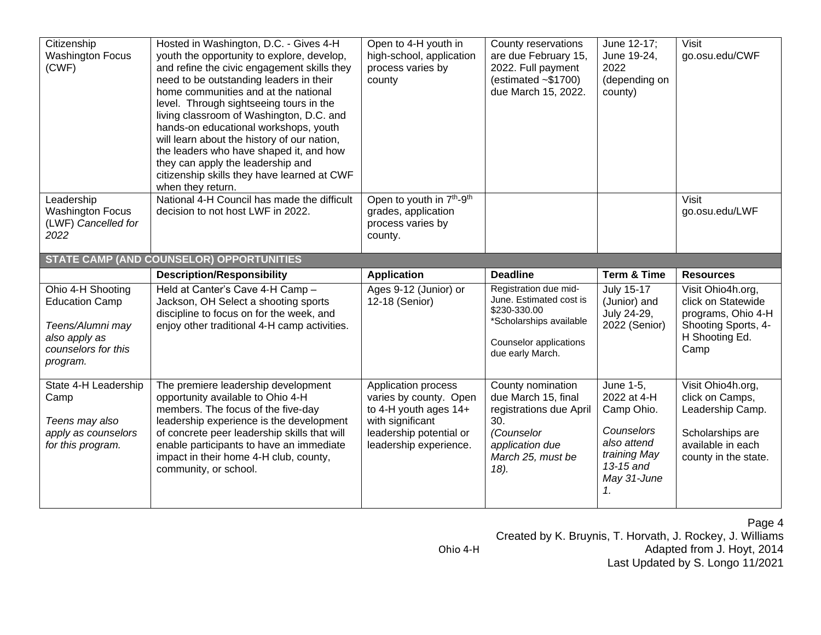| Citizenship<br><b>Washington Focus</b><br>(CWF)                                                                    | Hosted in Washington, D.C. - Gives 4-H<br>youth the opportunity to explore, develop,<br>and refine the civic engagement skills they<br>need to be outstanding leaders in their<br>home communities and at the national<br>level. Through sightseeing tours in the<br>living classroom of Washington, D.C. and<br>hands-on educational workshops, youth<br>will learn about the history of our nation,<br>the leaders who have shaped it, and how<br>they can apply the leadership and<br>citizenship skills they have learned at CWF<br>when they return. | Open to 4-H youth in<br>high-school, application<br>process varies by<br>county                          | County reservations<br>are due February 15,<br>2022. Full payment<br>(estimated $~51700$ )<br>due March 15, 2022.                         | June 12-17;<br>June 19-24,<br>2022<br>(depending on<br>county) | Visit<br>go.osu.edu/CWF                                                                                        |
|--------------------------------------------------------------------------------------------------------------------|-----------------------------------------------------------------------------------------------------------------------------------------------------------------------------------------------------------------------------------------------------------------------------------------------------------------------------------------------------------------------------------------------------------------------------------------------------------------------------------------------------------------------------------------------------------|----------------------------------------------------------------------------------------------------------|-------------------------------------------------------------------------------------------------------------------------------------------|----------------------------------------------------------------|----------------------------------------------------------------------------------------------------------------|
| Leadership<br><b>Washington Focus</b><br>(LWF) Cancelled for<br>2022                                               | National 4-H Council has made the difficult<br>decision to not host LWF in 2022.                                                                                                                                                                                                                                                                                                                                                                                                                                                                          | Open to youth in 7 <sup>th</sup> -9 <sup>th</sup><br>grades, application<br>process varies by<br>county. |                                                                                                                                           |                                                                | Visit<br>go.osu.edu/LWF                                                                                        |
|                                                                                                                    | <b>STATE CAMP (AND COUNSELOR) OPPORTUNITIES</b>                                                                                                                                                                                                                                                                                                                                                                                                                                                                                                           |                                                                                                          |                                                                                                                                           |                                                                |                                                                                                                |
|                                                                                                                    | <b>Description/Responsibility</b>                                                                                                                                                                                                                                                                                                                                                                                                                                                                                                                         | <b>Application</b>                                                                                       | <b>Deadline</b>                                                                                                                           | <b>Term &amp; Time</b>                                         | <b>Resources</b>                                                                                               |
| Ohio 4-H Shooting<br><b>Education Camp</b><br>Teens/Alumni may<br>also apply as<br>counselors for this<br>program. | Held at Canter's Cave 4-H Camp -<br>Jackson, OH Select a shooting sports<br>discipline to focus on for the week, and<br>enjoy other traditional 4-H camp activities.                                                                                                                                                                                                                                                                                                                                                                                      | Ages 9-12 (Junior) or<br>12-18 (Senior)                                                                  | Registration due mid-<br>June. Estimated cost is<br>\$230-330.00<br>*Scholarships available<br>Counselor applications<br>due early March. | July 15-17<br>(Junior) and<br>July 24-29,<br>2022 (Senior)     | Visit Ohio4h.org,<br>click on Statewide<br>programs, Ohio 4-H<br>Shooting Sports, 4-<br>H Shooting Ed.<br>Camp |
| State 4-H Leadership                                                                                               |                                                                                                                                                                                                                                                                                                                                                                                                                                                                                                                                                           |                                                                                                          |                                                                                                                                           |                                                                |                                                                                                                |

Page 4 Created by K. Bruynis, T. Horvath, J. Rockey, J. Williams Ohio 4-H **Adapted from J. Hoyt, 2014** Last Updated by S. Longo 11/2021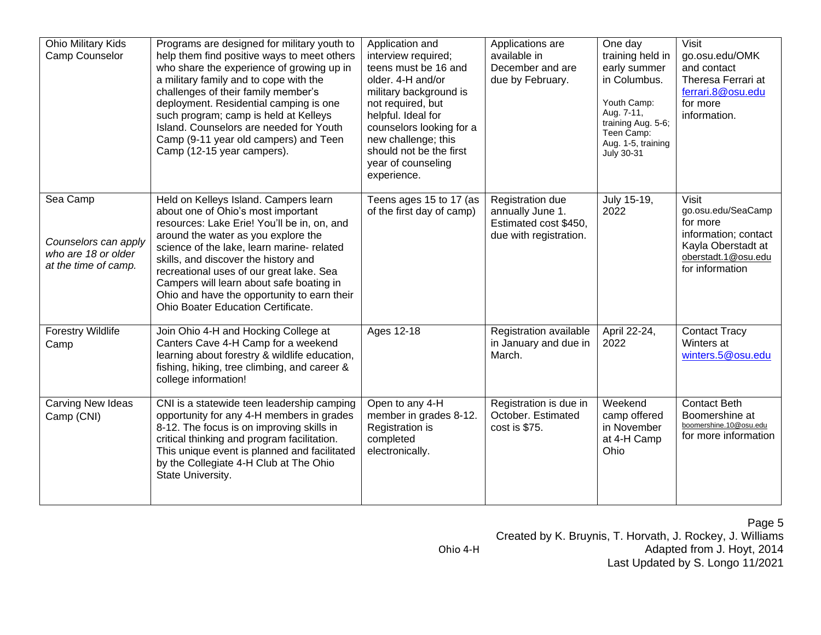| Ohio Military Kids<br>Camp Counselor                                            | Programs are designed for military youth to<br>help them find positive ways to meet others<br>who share the experience of growing up in<br>a military family and to cope with the<br>challenges of their family member's<br>deployment. Residential camping is one<br>such program; camp is held at Kelleys<br>Island. Counselors are needed for Youth<br>Camp (9-11 year old campers) and Teen<br>Camp (12-15 year campers).        | Application and<br>interview required;<br>teens must be 16 and<br>older. 4-H and/or<br>military background is<br>not required, but<br>helpful. Ideal for<br>counselors looking for a<br>new challenge; this<br>should not be the first<br>year of counseling<br>experience. | Applications are<br>available in<br>December and are<br>due by February.                | One day<br>training held in<br>early summer<br>in Columbus.<br>Youth Camp:<br>Aug. 7-11,<br>training Aug. 5-6;<br>Teen Camp:<br>Aug. 1-5, training<br>July 30-31 | <b>Visit</b><br>go.osu.edu/OMK<br>and contact<br>Theresa Ferrari at<br>ferrari.8@osu.edu<br>for more<br>information.                   |
|---------------------------------------------------------------------------------|--------------------------------------------------------------------------------------------------------------------------------------------------------------------------------------------------------------------------------------------------------------------------------------------------------------------------------------------------------------------------------------------------------------------------------------|-----------------------------------------------------------------------------------------------------------------------------------------------------------------------------------------------------------------------------------------------------------------------------|-----------------------------------------------------------------------------------------|------------------------------------------------------------------------------------------------------------------------------------------------------------------|----------------------------------------------------------------------------------------------------------------------------------------|
| Sea Camp<br>Counselors can apply<br>who are 18 or older<br>at the time of camp. | Held on Kelleys Island. Campers learn<br>about one of Ohio's most important<br>resources: Lake Erie! You'll be in, on, and<br>around the water as you explore the<br>science of the lake, learn marine- related<br>skills, and discover the history and<br>recreational uses of our great lake. Sea<br>Campers will learn about safe boating in<br>Ohio and have the opportunity to earn their<br>Ohio Boater Education Certificate. | Teens ages 15 to 17 (as<br>of the first day of camp)                                                                                                                                                                                                                        | Registration due<br>annually June 1.<br>Estimated cost \$450,<br>due with registration. | July 15-19,<br>2022                                                                                                                                              | <b>Visit</b><br>go.osu.edu/SeaCamp<br>for more<br>information; contact<br>Kayla Oberstadt at<br>oberstadt.1@osu.edu<br>for information |
| <b>Forestry Wildlife</b><br>Camp                                                | Join Ohio 4-H and Hocking College at<br>Canters Cave 4-H Camp for a weekend<br>learning about forestry & wildlife education,<br>fishing, hiking, tree climbing, and career &<br>college information!                                                                                                                                                                                                                                 | Ages 12-18                                                                                                                                                                                                                                                                  | Registration available<br>in January and due in<br>March.                               | April 22-24,<br>2022                                                                                                                                             | <b>Contact Tracy</b><br>Winters at<br>winters.5@osu.edu                                                                                |
| Carving New Ideas<br>Camp (CNI)                                                 | CNI is a statewide teen leadership camping<br>opportunity for any 4-H members in grades<br>8-12. The focus is on improving skills in<br>critical thinking and program facilitation.<br>This unique event is planned and facilitated<br>by the Collegiate 4-H Club at The Ohio<br>State University.                                                                                                                                   | Open to any 4-H<br>member in grades 8-12.<br>Registration is<br>completed<br>electronically.                                                                                                                                                                                | Registration is due in<br>October. Estimated<br>cost is \$75.                           | Weekend<br>camp offered<br>in November<br>at 4-H Camp<br>Ohio                                                                                                    | <b>Contact Beth</b><br>Boomershine at<br>boomershine.10@osu.edu<br>for more information                                                |

Page 5 Created by K. Bruynis, T. Horvath, J. Rockey, J. Williams Ohio 4-H **Adapted from J. Hoyt, 2014** Last Updated by S. Longo 11/2021